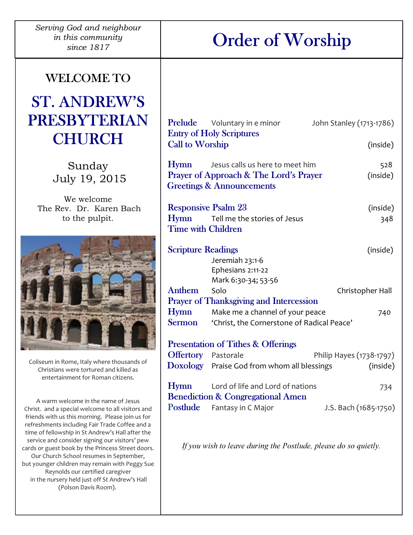Serving God and neighbour in this community

# his community  $\sum_{\text{since }1817}$  Order of Worship

## WELCOME TO

## ST. ANDREW'S PRESBYTERIAN **CHURCH**

Sunday July 19, 2015

We welcome The Rev. Dr. Karen Bach to the pulpit.



Coliseum in Rome, Italy where thousands of Christians were tortured and killed as entertainment for Roman citizens.

A warm welcome in the name of Jesus Christ. and a special welcome to all visitors and friends with us this morning. Please join us for refreshments including Fair Trade Coffee and a time of fellowship in St Andrew's Hall after the service and consider signing our visitors' pew cards or guest book by the Princess Street doors. Our Church School resumes in September, but younger children may remain with Peggy Sue Reynolds our certified caregiver in the nursery held just off St Andrew's Hall (Polson Davis Room).

| <b>Prelude</b>                                 | Voluntary in e minor<br><b>Entry of Holy Scriptures</b>                                                           | John Stanley (1713-1786) |  |  |
|------------------------------------------------|-------------------------------------------------------------------------------------------------------------------|--------------------------|--|--|
| <b>Call to Worship</b>                         | (inside)                                                                                                          |                          |  |  |
| <b>Hymn</b>                                    | Jesus calls us here to meet him<br>Prayer of Approach & The Lord's Prayer<br><b>Greetings &amp; Announcements</b> | 528<br>(inside)          |  |  |
| <b>Responsive Psalm 23</b>                     |                                                                                                                   | (inside)                 |  |  |
|                                                | Hymn Tell me the stories of Jesus                                                                                 | 348                      |  |  |
| <b>Time with Children</b>                      |                                                                                                                   |                          |  |  |
| <b>Scripture Readings</b>                      | Jeremiah 23:1-6<br>Ephesians 2:11-22                                                                              | (inside)                 |  |  |
|                                                | Mark 6:30-34; 53-56                                                                                               |                          |  |  |
| <b>Anthem</b>                                  | Solo                                                                                                              | Christopher Hall         |  |  |
| <b>Prayer of Thanksgiving and Intercession</b> |                                                                                                                   |                          |  |  |
| <b>Hymn</b><br><b>Sermon</b>                   | Make me a channel of your peace<br>740<br>'Christ, the Cornerstone of Radical Peace'                              |                          |  |  |
| <b>Presentation of Tithes &amp; Offerings</b>  |                                                                                                                   |                          |  |  |
| <b>Offertory</b> Pastorale                     |                                                                                                                   | Philip Hayes (1738-1797) |  |  |
|                                                | Doxology Praise God from whom all blessings                                                                       | (inside)                 |  |  |
| <b>Hymn</b>                                    | Lord of life and Lord of nations<br><b>Benediction &amp; Congregational Amen</b>                                  | 734                      |  |  |
| Postlude                                       | Fantasy in C Major                                                                                                | J.S. Bach (1685-1750)    |  |  |

If you wish to leave during the Postlude, please do so quietly.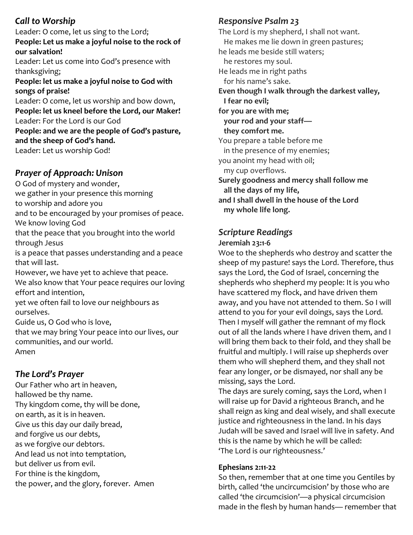## Call to Worship

Leader: O come, let us sing to the Lord; People: Let us make a joyful noise to the rock of our salvation! Leader: Let us come into God's presence with thanksgiving; People: let us make a joyful noise to God with songs of praise! Leader: O come, let us worship and bow down, People: let us kneel before the Lord, our Maker! Leader: For the Lord is our God People: and we are the people of God's pasture, and the sheep of God's hand. Leader: Let us worship God!

## Prayer of Approach: Unison

O God of mystery and wonder, we gather in your presence this morning to worship and adore you and to be encouraged by your promises of peace. We know loving God that the peace that you brought into the world through Jesus is a peace that passes understanding and a peace that will last. However, we have yet to achieve that peace. We also know that Your peace requires our loving effort and intention, yet we often fail to love our neighbours as ourselves. Guide us, O God who is love, that we may bring Your peace into our lives, our communities, and our world. Amen

## The Lord's Prayer

Our Father who art in heaven, hallowed be thy name. Thy kingdom come, thy will be done, on earth, as it is in heaven. Give us this day our daily bread, and forgive us our debts, as we forgive our debtors. And lead us not into temptation, but deliver us from evil. For thine is the kingdom, the power, and the glory, forever. Amen

## Responsive Psalm 23

The Lord is my shepherd, I shall not want. He makes me lie down in green pastures; he leads me beside still waters; he restores my soul. He leads me in right paths for his name's sake. Even though I walk through the darkest valley, I fear no evil; for you are with me; your rod and your staff they comfort me. You prepare a table before me in the presence of my enemies; you anoint my head with oil; my cup overflows. Surely goodness and mercy shall follow me all the days of my life, and I shall dwell in the house of the Lord my whole life long.

## Scripture Readings

#### Jeremiah 23:1-6

Woe to the shepherds who destroy and scatter the sheep of my pasture! says the Lord. Therefore, thus says the Lord, the God of Israel, concerning the shepherds who shepherd my people: It is you who have scattered my flock, and have driven them away, and you have not attended to them. So I will attend to you for your evil doings, says the Lord. Then I myself will gather the remnant of my flock out of all the lands where I have driven them, and I will bring them back to their fold, and they shall be fruitful and multiply. I will raise up shepherds over them who will shepherd them, and they shall not fear any longer, or be dismayed, nor shall any be missing, says the Lord.

The days are surely coming, says the Lord, when I will raise up for David a righteous Branch, and he shall reign as king and deal wisely, and shall execute justice and righteousness in the land. In his days Judah will be saved and Israel will live in safety. And this is the name by which he will be called: 'The Lord is our righteousness.'

#### Ephesians 2:11-22

So then, remember that at one time you Gentiles by birth, called 'the uncircumcision' by those who are called 'the circumcision'—a physical circumcision made in the flesh by human hands— remember that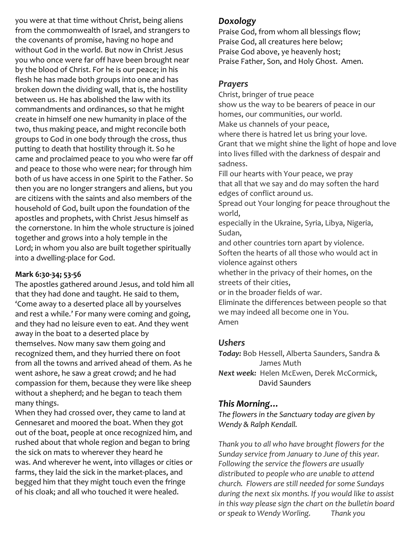you were at that time without Christ, being aliens from the commonwealth of Israel, and strangers to the covenants of promise, having no hope and without God in the world. But now in Christ Jesus you who once were far off have been brought near by the blood of Christ. For he is our peace; in his flesh he has made both groups into one and has broken down the dividing wall, that is, the hostility between us. He has abolished the law with its commandments and ordinances, so that he might create in himself one new humanity in place of the two, thus making peace, and might reconcile both groups to God in one body through the cross, thus putting to death that hostility through it. So he came and proclaimed peace to you who were far off and peace to those who were near; for through him both of us have access in one Spirit to the Father. So then you are no longer strangers and aliens, but you are citizens with the saints and also members of the household of God, built upon the foundation of the apostles and prophets, with Christ Jesus himself as the cornerstone. In him the whole structure is joined together and grows into a holy temple in the Lord; in whom you also are built together spiritually into a dwelling-place for God.

#### Mark 6:30-34; 53-56

The apostles gathered around Jesus, and told him all that they had done and taught. He said to them, 'Come away to a deserted place all by yourselves and rest a while.' For many were coming and going, and they had no leisure even to eat. And they went away in the boat to a deserted place by themselves. Now many saw them going and recognized them, and they hurried there on foot from all the towns and arrived ahead of them. As he went ashore, he saw a great crowd; and he had compassion for them, because they were like sheep without a shepherd; and he began to teach them many things.

When they had crossed over, they came to land at Gennesaret and moored the boat. When they got out of the boat, people at once recognized him, and rushed about that whole region and began to bring the sick on mats to wherever they heard he was. And wherever he went, into villages or cities or farms, they laid the sick in the market-places, and begged him that they might touch even the fringe of his cloak; and all who touched it were healed.

#### Doxology

Praise God, from whom all blessings flow; Praise God, all creatures here below; Praise God above, ye heavenly host; Praise Father, Son, and Holy Ghost. Amen.

#### Prayers

sadness.

Christ, bringer of true peace show us the way to be bearers of peace in our homes, our communities, our world. Make us channels of your peace, where there is hatred let us bring your love. Grant that we might shine the light of hope and love into lives filled with the darkness of despair and

Fill our hearts with Your peace, we pray that all that we say and do may soften the hard edges of conflict around us.

Spread out Your longing for peace throughout the world,

especially in the Ukraine, Syria, Libya, Nigeria, Sudan,

and other countries torn apart by violence. Soften the hearts of all those who would act in violence against others

whether in the privacy of their homes, on the streets of their cities,

or in the broader fields of war.

Eliminate the differences between people so that we may indeed all become one in You. Amen

#### Ushers

Today: Bob Hessell, Alberta Saunders, Sandra & James Muth Next week: Helen McEwen, Derek McCormick, David Saunders

#### This Morning…

The flowers in the Sanctuary today are given by Wendy & Ralph Kendall.

Thank you to all who have brought flowers for the Sunday service from January to June of this year. Following the service the flowers are usually distributed to people who are unable to attend church. Flowers are still needed for some Sundays during the next six months. If you would like to assist in this way please sign the chart on the bulletin board or speak to Wendy Worling. Thank you